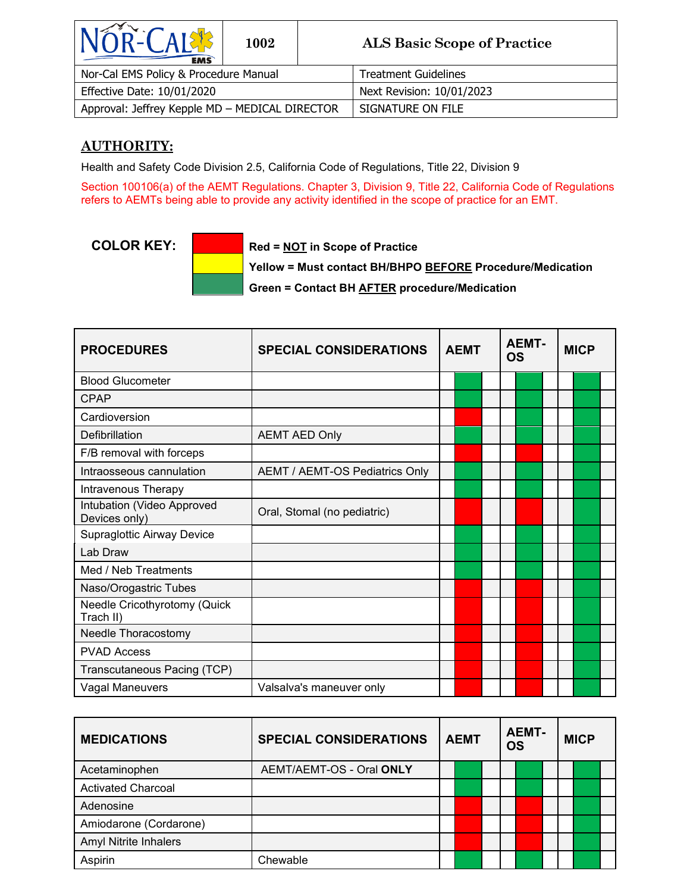| NOR-CALB<br><b>EMS</b>                         | 1002 | <b>ALS Basic Scope of Practice</b> |                             |  |  |  |  |
|------------------------------------------------|------|------------------------------------|-----------------------------|--|--|--|--|
| Nor-Cal EMS Policy & Procedure Manual          |      |                                    | <b>Treatment Guidelines</b> |  |  |  |  |
| Effective Date: 10/01/2020                     |      |                                    | Next Revision: 10/01/2023   |  |  |  |  |
| Approval: Jeffrey Kepple MD - MEDICAL DIRECTOR |      |                                    | SIGNATURE ON FILE           |  |  |  |  |

## **AUTHORITY:**

Health and Safety Code Division 2.5, California Code of Regulations, Title 22, Division 9

Section 100106(a) of the AEMT Regulations. Chapter 3, Division 9, Title 22, California Code of Regulations refers to AEMTs being able to provide any activity identified in the scope of practice for an EMT.



**COLOR KEY:** Red = NOT in Scope of Practice

**Yellow = Must contact BH/BHPO BEFORE Procedure/Medication**

**Green = Contact BH AFTER procedure/Medication**

| <b>PROCEDURES</b>                           | <b>SPECIAL CONSIDERATIONS</b>         | <b>AEMT</b> |  | <b>AEMT-</b><br><b>OS</b> |  |  | <b>MICP</b> |  |  |
|---------------------------------------------|---------------------------------------|-------------|--|---------------------------|--|--|-------------|--|--|
| <b>Blood Glucometer</b>                     |                                       |             |  |                           |  |  |             |  |  |
| <b>CPAP</b>                                 |                                       |             |  |                           |  |  |             |  |  |
| Cardioversion                               |                                       |             |  |                           |  |  |             |  |  |
| Defibrillation                              | <b>AEMT AED Only</b>                  |             |  |                           |  |  |             |  |  |
| F/B removal with forceps                    |                                       |             |  |                           |  |  |             |  |  |
| Intraosseous cannulation                    | <b>AEMT / AEMT-OS Pediatrics Only</b> |             |  |                           |  |  |             |  |  |
| Intravenous Therapy                         |                                       |             |  |                           |  |  |             |  |  |
| Intubation (Video Approved<br>Devices only) | Oral, Stomal (no pediatric)           |             |  |                           |  |  |             |  |  |
| <b>Supraglottic Airway Device</b>           |                                       |             |  |                           |  |  |             |  |  |
| Lab Draw                                    |                                       |             |  |                           |  |  |             |  |  |
| Med / Neb Treatments                        |                                       |             |  |                           |  |  |             |  |  |
| Naso/Orogastric Tubes                       |                                       |             |  |                           |  |  |             |  |  |
| Needle Cricothyrotomy (Quick<br>Trach II)   |                                       |             |  |                           |  |  |             |  |  |
| Needle Thoracostomy                         |                                       |             |  |                           |  |  |             |  |  |
| <b>PVAD Access</b>                          |                                       |             |  |                           |  |  |             |  |  |
| Transcutaneous Pacing (TCP)                 |                                       |             |  |                           |  |  |             |  |  |
| Vagal Maneuvers                             | Valsalva's maneuver only              |             |  |                           |  |  |             |  |  |

| <b>MEDICATIONS</b>           | <b>SPECIAL CONSIDERATIONS</b> | <b>AEMT</b> |  | <b>AEMT-</b><br><b>OS</b> |  |  | <b>MICP</b> |  |  |  |
|------------------------------|-------------------------------|-------------|--|---------------------------|--|--|-------------|--|--|--|
| Acetaminophen                | AEMT/AEMT-OS - Oral ONLY      |             |  |                           |  |  |             |  |  |  |
| <b>Activated Charcoal</b>    |                               |             |  |                           |  |  |             |  |  |  |
| Adenosine                    |                               |             |  |                           |  |  |             |  |  |  |
| Amiodarone (Cordarone)       |                               |             |  |                           |  |  |             |  |  |  |
| <b>Amyl Nitrite Inhalers</b> |                               |             |  |                           |  |  |             |  |  |  |
| Aspirin                      | Chewable                      |             |  |                           |  |  |             |  |  |  |